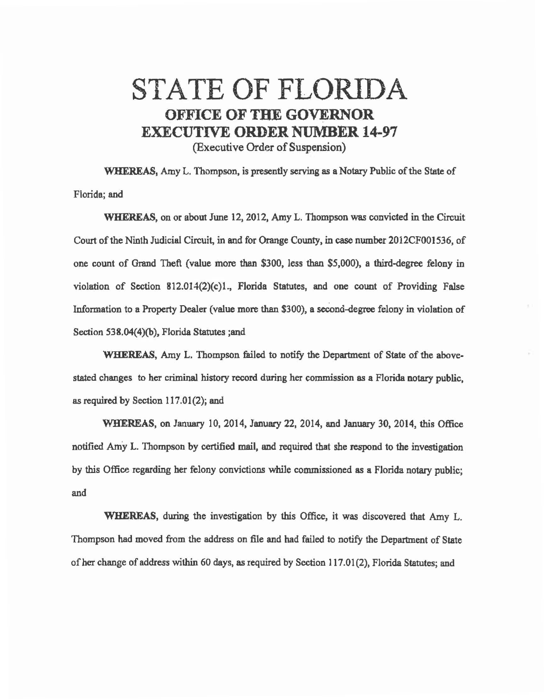## STATE OF FLORIDA OFFICE OF THE GOVERNOR EXECUTIVE ORDER NUMBER 14-97 (Executive Order of Suspension)

WHEREAS, Amy L. Thompson, is presently serving as a Notary Public of the State of Florida; and

WHEREAS, on or about June 12, 2012, Amy L. Thompson was convicted in the Circuit Court of the Ninth Judicial Circuit, in and for Orange County, in case number 2012CF001536, of one count of Grand Theft (value more than \$300, less than \$5,000), a third-degree felony in violation of Section 812.014(2)(c)l., Florida Statutes, and one count of Providing False Information to a Property Dealer (value more than \$300), a second-degree felony in violation of Section 538.04(4)(b), Florida Statutes ;and

WHEREAS, Amy L. Thompson failed to notify the Department of State of the abovestated changes to her criminal history record during her commission as a Florida notary public, as required by Section 117.01(2); and

WHEREAS, on January 10, 2014, January 22, 2014, and January 30, 2014, this Office notified Amy L. Thompson by certified mail, end required that she respond to the investigation by this Office regarding her felony convictions while commissioned as a Florida notary public; and

WHEREAS, during the investigation by this Office, it was discovered that Amy L. Thompson had moved from the address on file and had failed to notify the Department of State of her change of address within 60 days, as required by Section 117.01 (2), Florida Statutes; and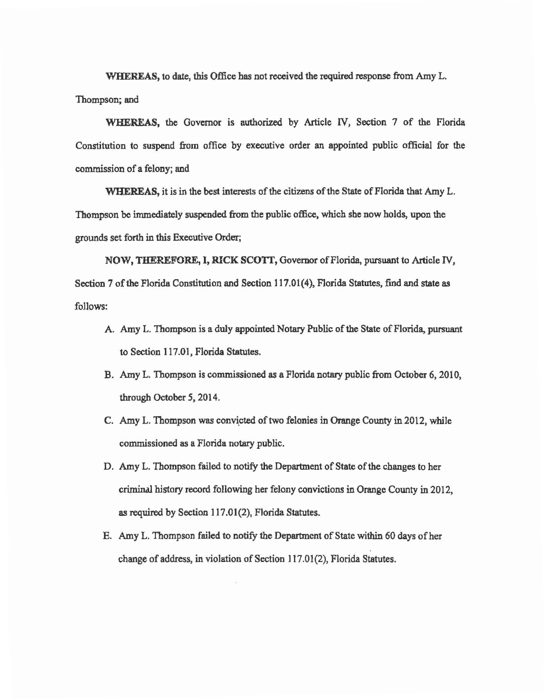WHEREAS, to date, this Office has not received the required response from Amy L. Thompson; and

WHEREAS, the Governor is authorized by Article IV, Section 7 of the Florida Constitution to suspend from office by executive order an appointed public official for the commission of a felony; and

WHEREAS, it is in the best interests of the citizens of the State of Florida that Amy L. Thompson be immediately suspended from the public office, which she now holds, upon the grounds set forth in this Executive Order;

NOW, THEREFORE, I, RICK SCOTT, Governor of Florida, pursuant to Article IV, Section 7 of the Florida Constitution and Section 117.01(4), Florida Statutes, find and state as follows:

- A. Amy L. Thompson is a duly appointed Notary Public of the State of Florida, pursuant to Section 117.01, Florida Statutes.
- B. Amy L. Thompson is commissioned as a Florida notary public from October 6, 2010, through October *5,* 2014.
- C. Amy L. Thompson was convicted of two felonies in Orange County in 2012, while commissioned as a Florida notary public.
- D. Amy L. Thompson failed to notify the Department of State of the changes to her criminal history record following her felony convictions in Orange County in 2012, as required by Section 117.01(2), Florida Statutes.
- E. Amy L. Thompson failed to notify the Department of State within 60 days of her change of address, in violation of Section 117.01(2), Florida Statutes.